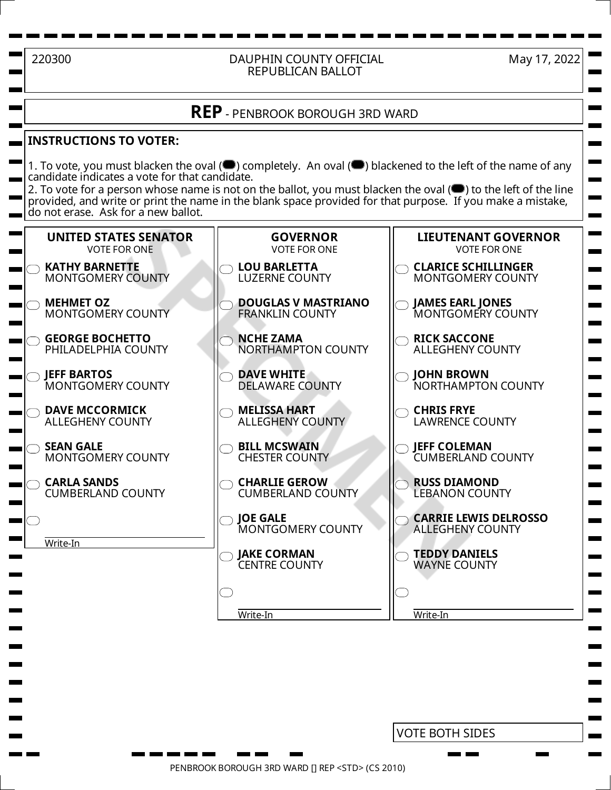## 220300 DAUPHIN COUNTY OFFICIAL REPUBLICAN BALLOT

May 17, 2022

## **REP** - PENBROOK BOROUGH 3RD WARD

## **INSTRUCTIONS TO VOTER:**

1. To vote, you must blacken the oval (**iii**) completely. An oval (**iii**) blackened to the left of the name of any candidate indicates a vote for that candidate.

2. To vote for a person whose name is not on the ballot, you must blacken the oval  $($ **)** to the left of the line provided, and write or print the name in the blank space provided for that purpose. If you make a mistake, do not erase. Ask for a new ballot.